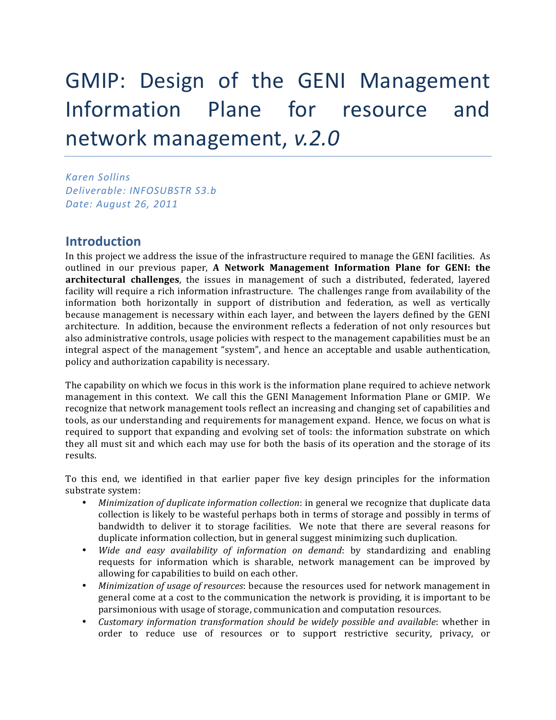# GMIP: Design of the GENI Management Information Plane for resource and network management, v.2.0

*Karen!Sollins Deliverable:!INFOSUBSTR!S3.b Date:!August!26,!2011*

## **Introduction**

In this project we address the issue of the infrastructure required to manage the GENI facilities. As outlined in our previous paper, A Network Management Information Plane for GENI: the architectural challenges, the issues in management of such a distributed, federated, layered facility will require a rich information infrastructure. The challenges range from availability of the information both horizontally in support of distribution and federation, as well as vertically because management is necessary within each layer, and between the layers defined by the GENI architecture. In addition, because the environment reflects a federation of not only resources but also administrative controls, usage policies with respect to the management capabilities must be an integral aspect of the management "system", and hence an acceptable and usable authentication, policy and authorization capability is necessary.

The capability on which we focus in this work is the information plane required to achieve network management in this context. We call this the GENI Management Information Plane or GMIP. We recognize that network management tools reflect an increasing and changing set of capabilities and tools, as our understanding and requirements for management expand. Hence, we focus on what is required to support that expanding and evolving set of tools: the information substrate on which they all must sit and which each may use for both the basis of its operation and the storage of its results.

To this end, we identified in that earlier paper five key design principles for the information substrate system:

- *Minimization of duplicate information collection*: in general we recognize that duplicate data collection is likely to be wasteful perhaps both in terms of storage and possibly in terms of bandwidth to deliver it to storage facilities. We note that there are several reasons for duplicate information collection, but in general suggest minimizing such duplication.
- *Wide and easy availability of information on demand: by standardizing and enabling* requests for information which is sharable, network management can be improved by allowing for capabilities to build on each other.
- *Minimization of usage of resources*: because the resources used for network management in general come at a cost to the communication the network is providing, it is important to be parsimonious with usage of storage, communication and computation resources.
- *Customary information transformation should be widely possible and available: whether in* order to reduce use of resources or to support restrictive security, privacy, or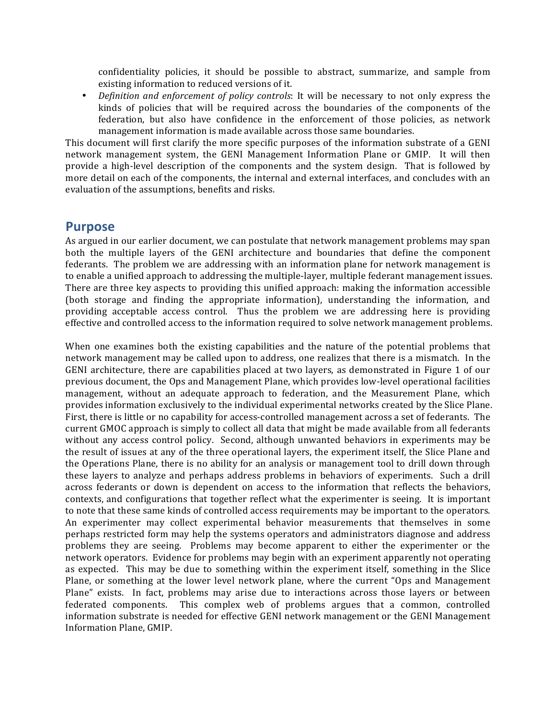confidentiality policies, it should be possible to abstract, summarize, and sample from existing information to reduced versions of it.

• *Definition and enforcement of policy controls*: It will be necessary to not only express the kinds of policies that will be required across the boundaries of the components of the federation, but also have confidence in the enforcement of those policies, as network management information is made available across those same boundaries.

This document will first clarify the more specific purposes of the information substrate of a GENI network management system, the GENI Management Information Plane or GMIP. It will then provide a high-level description of the components and the system design. That is followed by more detail on each of the components, the internal and external interfaces, and concludes with an evaluation of the assumptions, benefits and risks.

## **Purpose**

As argued in our earlier document, we can postulate that network management problems may span both the multiple layers of the GENI architecture and boundaries that define the component federants. The problem we are addressing with an information plane for network management is to enable a unified approach to addressing the multiple-layer, multiple federant management issues. There are three key aspects to providing this unified approach: making the information accessible (both storage and finding the appropriate information), understanding the information, and providing acceptable access control. Thus the problem we are addressing here is providing effective and controlled access to the information required to solve network management problems.

When one examines both the existing capabilities and the nature of the potential problems that network management may be called upon to address, one realizes that there is a mismatch. In the GENI architecture, there are capabilities placed at two layers, as demonstrated in Figure 1 of our previous document, the Ops and Management Plane, which provides low-level operational facilities management, without an adequate approach to federation, and the Measurement Plane, which provides information exclusively to the individual experimental networks created by the Slice Plane. First, there is little or no capability for access-controlled management across a set of federants. The current GMOC approach is simply to collect all data that might be made available from all federants without any access control policy. Second, although unwanted behaviors in experiments may be the result of issues at any of the three operational layers, the experiment itself, the Slice Plane and the Operations Plane, there is no ability for an analysis or management tool to drill down through these layers to analyze and perhaps address problems in behaviors of experiments. Such a drill across federants or down is dependent on access to the information that reflects the behaviors, contexts, and configurations that together reflect what the experimenter is seeing. It is important to note that these same kinds of controlled access requirements may be important to the operators. An experimenter may collect experimental behavior measurements that themselves in some perhaps restricted form may help the systems operators and administrators diagnose and address problems they are seeing. Problems may become apparent to either the experimenter or the network operators. Evidence for problems may begin with an experiment apparently not operating as expected. This may be due to something within the experiment itself, something in the Slice Plane, or something at the lower level network plane, where the current "Ops and Management" Plane" exists. In fact, problems may arise due to interactions across those layers or between federated components. This complex web of problems argues that a common, controlled information substrate is needed for effective GENI network management or the GENI Management Information Plane, GMIP.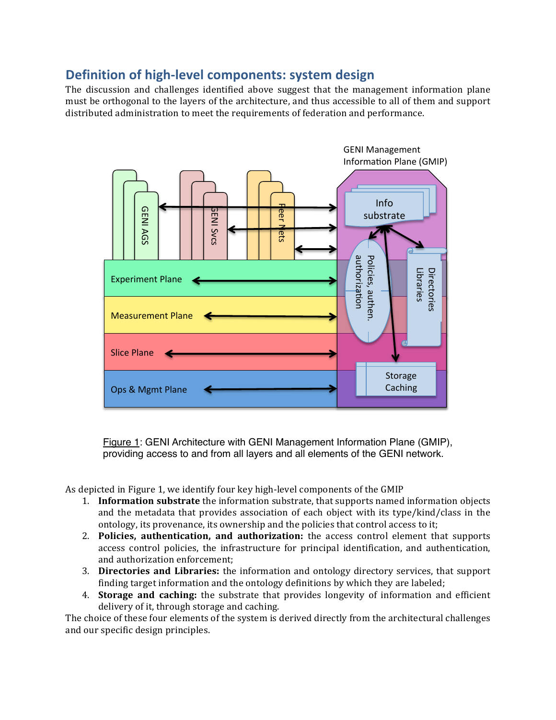# **Definition of high-level components: system design**

The discussion and challenges identified above suggest that the management information plane must be orthogonal to the layers of the architecture, and thus accessible to all of them and support distributed administration to meet the requirements of federation and performance.



Figure 1: GENI Architecture with GENI Management Information Plane (GMIP), providing access to and from all layers and all elements of the GENI network.

As depicted in Figure 1, we identify four key high-level components of the GMIP

- 1. **Information substrate** the information substrate, that supports named information objects and the metadata that provides association of each object with its type/kind/class in the ontology, its provenance, its ownership and the policies that control access to it;
- 2. **Policies, authentication, and authorization:** the access control element that supports access control policies, the infrastructure for principal identification, and authentication, and authorization enforcement:
- 3. **Directories and Libraries:** the information and ontology directory services, that support finding target information and the ontology definitions by which they are labeled;
- 4. **Storage and caching:** the substrate that provides longevity of information and efficient delivery of it, through storage and caching.

The choice of these four elements of the system is derived directly from the architectural challenges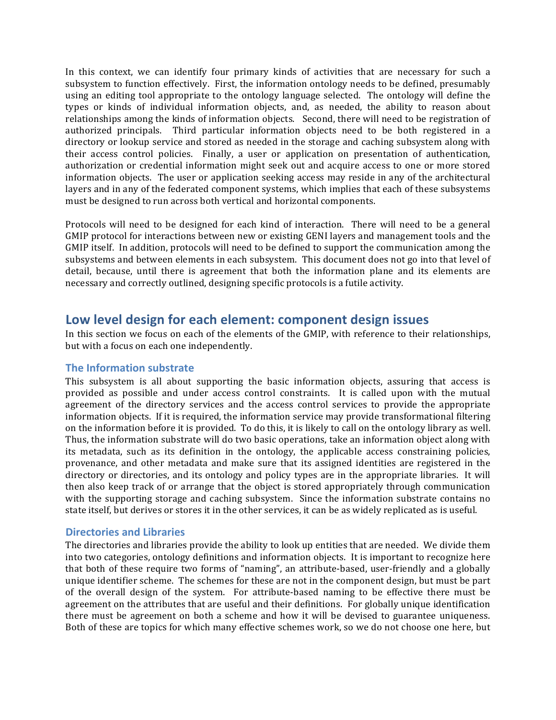In this context, we can identify four primary kinds of activities that are necessary for such a subsystem to function effectively. First, the information ontology needs to be defined, presumably using an editing tool appropriate to the ontology language selected. The ontology will define the types or kinds of individual information objects, and, as needed, the ability to reason about relationships among the kinds of information objects. Second, there will need to be registration of authorized principals. Third particular information objects need to be both registered in a directory or lookup service and stored as needed in the storage and caching subsystem along with their access control policies. Finally, a user or application on presentation of authentication, authorization or credential information might seek out and acquire access to one or more stored information objects. The user or application seeking access may reside in any of the architectural layers and in any of the federated component systems, which implies that each of these subsystems must be designed to run across both vertical and horizontal components.

Protocols will need to be designed for each kind of interaction. There will need to be a general GMIP protocol for interactions between new or existing GENI layers and management tools and the GMIP itself. In addition, protocols will need to be defined to support the communication among the subsystems and between elements in each subsystem. This document does not go into that level of detail, because, until there is agreement that both the information plane and its elements are necessary and correctly outlined, designing specific protocols is a futile activity.

## **Low\*level\*design\*for\*each\*element:\*component\*design issues**

In this section we focus on each of the elements of the GMIP, with reference to their relationships, but with a focus on each one independently.

## **The Information substrate**

This subsystem is all about supporting the basic information objects, assuring that access is provided as possible and under access control constraints. It is called upon with the mutual agreement of the directory services and the access control services to provide the appropriate information objects. If it is required, the information service may provide transformational filtering on the information before it is provided. To do this, it is likely to call on the ontology library as well. Thus, the information substrate will do two basic operations, take an information object along with its metadata, such as its definition in the ontology, the applicable access constraining policies, provenance, and other metadata and make sure that its assigned identities are registered in the directory or directories, and its ontology and policy types are in the appropriate libraries. It will then also keep track of or arrange that the object is stored appropriately through communication with the supporting storage and caching subsystem. Since the information substrate contains no state itself, but derives or stores it in the other services, it can be as widely replicated as is useful.

### **Directories and Libraries**

The directories and libraries provide the ability to look up entities that are needed. We divide them into two categories, ontology definitions and information objects. It is important to recognize here that both of these require two forms of "naming", an attribute-based, user-friendly and a globally unique identifier scheme. The schemes for these are not in the component design, but must be part of the overall design of the system. For attribute-based naming to be effective there must be agreement on the attributes that are useful and their definitions. For globally unique identification there must be agreement on both a scheme and how it will be devised to guarantee uniqueness. Both of these are topics for which many effective schemes work, so we do not choose one here, but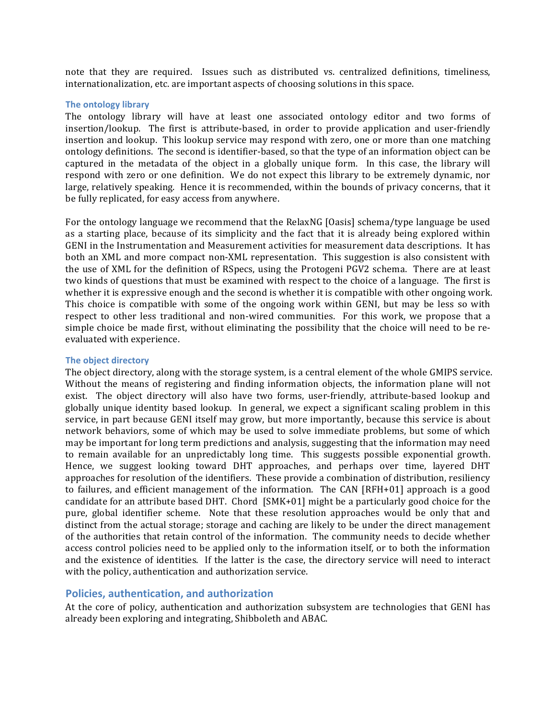note that they are required. Issues such as distributed vs. centralized definitions, timeliness, internationalization, etc. are important aspects of choosing solutions in this space.

#### **The ontology library**

The ontology library will have at least one associated ontology editor and two forms of insertion/lookup. The first is attribute-based, in order to provide application and user-friendly insertion and lookup. This lookup service may respond with zero, one or more than one matching ontology definitions. The second is identifier-based, so that the type of an information object can be captured in the metadata of the object in a globally unique form. In this case, the library will respond with zero or one definition. We do not expect this library to be extremely dynamic, nor large, relatively speaking. Hence it is recommended, within the bounds of privacy concerns, that it be fully replicated, for easy access from anywhere.

For the ontology language we recommend that the RelaxNG [Oasis] schema/type language be used as a starting place, because of its simplicity and the fact that it is already being explored within GENI in the Instrumentation and Measurement activities for measurement data descriptions. It has both an XML and more compact non-XML representation. This suggestion is also consistent with the use of XML for the definition of RSpecs, using the Protogeni PGV2 schema. There are at least two kinds of questions that must be examined with respect to the choice of a language. The first is whether it is expressive enough and the second is whether it is compatible with other ongoing work. This choice is compatible with some of the ongoing work within GENI, but may be less so with  $\frac{1}{2}$ respect to other less traditional and non-wired communities. For this work, we propose that a simple choice be made first, without eliminating the possibility that the choice will need to be reevaluated with experience.

#### **The object directory**

The object directory, along with the storage system, is a central element of the whole GMIPS service. Without the means of registering and finding information objects, the information plane will not exist. The object directory will also have two forms, user-friendly, attribute-based lookup and globally unique identity based lookup. In general, we expect a significant scaling problem in this service, in part because GENI itself may grow, but more importantly, because this service is about network behaviors, some of which may be used to solve immediate problems, but some of which may be important for long term predictions and analysis, suggesting that the information may need to remain available for an unpredictably long time. This suggests possible exponential growth. Hence, we suggest looking toward DHT approaches, and perhaps over time, layered DHT approaches for resolution of the identifiers. These provide a combination of distribution, resiliency to failures, and efficient management of the information. The CAN [RFH+01] approach is a good candidate for an attribute based DHT. Chord  $[SMK+01]$  might be a particularly good choice for the pure, global identifier scheme. Note that these resolution approaches would be only that and distinct from the actual storage; storage and caching are likely to be under the direct management of the authorities that retain control of the information. The community needs to decide whether access control policies need to be applied only to the information itself, or to both the information and the existence of identities. If the latter is the case, the directory service will need to interact with the policy, authentication and authorization service.

#### Policies, authentication, and authorization

At the core of policy, authentication and authorization subsystem are technologies that GENI has already been exploring and integrating, Shibboleth and ABAC.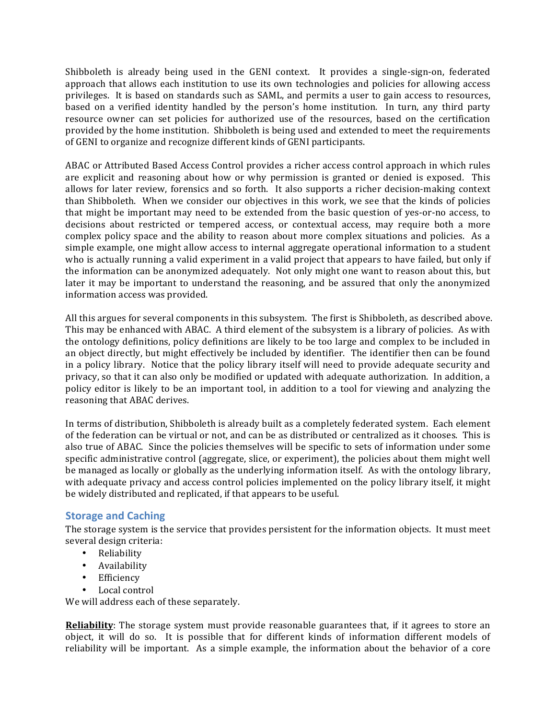Shibboleth is already being used in the GENI context. It provides a single-sign-on, federated approach that allows each institution to use its own technologies and policies for allowing access privileges. It is based on standards such as SAML, and permits a user to gain access to resources, based on a verified identity handled by the person's home institution. In turn, any third party resource owner can set policies for authorized use of the resources, based on the certification provided by the home institution. Shibboleth is being used and extended to meet the requirements of GENI to organize and recognize different kinds of GENI participants.

ABAC or Attributed Based Access Control provides a richer access control approach in which rules are explicit and reasoning about how or why permission is granted or denied is exposed. This allows for later review, forensics and so forth. It also supports a richer decision- making context than Shibboleth. When we consider our objectives in this work, we see that the kinds of policies that might be important may need to be extended from the basic question of yes-or-no access, to decisions about restricted or tempered access, or contextual access, may require both a more complex policy space and the ability to reason about more complex situations and policies. As a simple example, one might allow access to internal aggregate operational information to a student who is actually running a valid experiment in a valid project that appears to have failed, but only if the information can be anonymized adequately. Not only might one want to reason about this, but later it may be important to understand the reasoning, and be assured that only the anonymized information access was provided.

All this argues for several components in this subsystem. The first is Shibboleth, as described above. This may be enhanced with ABAC. A third element of the subsystem is a library of policies. As with the ontology definitions, policy definitions are likely to be too large and complex to be included in an object directly, but might effectively be included by identifier. The identifier then can be found in a policy library. Notice that the policy library itself will need to provide adequate security and privacy, so that it can also only be modified or updated with adequate authorization. In addition, a policy editor is likely to be an important tool, in addition to a tool for viewing and analyzing the reasoning that ABAC derives.

In terms of distribution, Shibboleth is already built as a completely federated system. Each element of the federation can be virtual or not, and can be as distributed or centralized as it chooses. This is also true of ABAC. Since the policies themselves will be specific to sets of information under some specific administrative control (aggregate, slice, or experiment), the policies about them might well be managed as locally or globally as the underlying information itself. As with the ontology library, with adequate privacy and access control policies implemented on the policy library itself, it might be widely distributed and replicated, if that appears to be useful.

## **Storage and Caching**

The storage system is the service that provides persistent for the information objects. It must meet several design criteria:

- Reliability
- Availability
- Efficiency
- Local control

We will address each of these separately.

**Reliability**: The storage system must provide reasonable guarantees that, if it agrees to store an object, it will do so. It is possible that for different kinds of information different models of reliability will be important. As a simple example, the information about the behavior of a core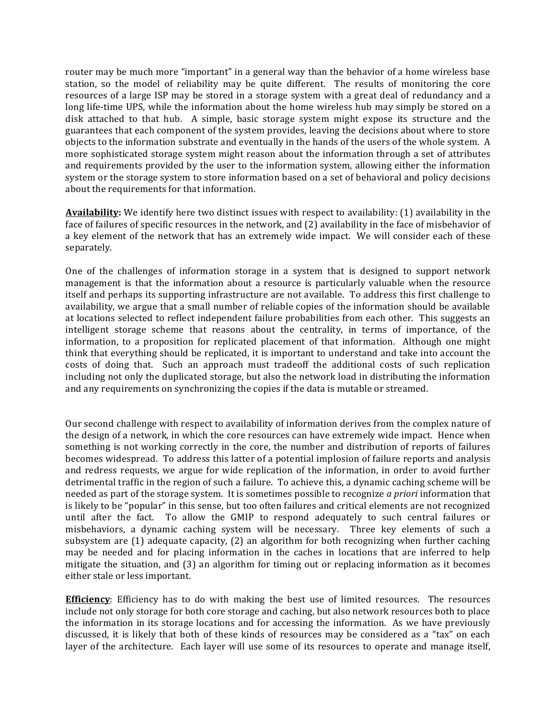router may be much more "important" in a general way than the behavior of a home wireless base station, so the model of reliability may be quite different. The results of monitoring the core resources of a large ISP may be stored in a storage system with a great deal of redundancy and a long life-time UPS, while the information about the home wireless hub may simply be stored on a disk attached to that hub. A simple, basic storage system might expose its structure and the guarantees that each component of the system provides, leaving the decisions about where to store objects to the information substrate and eventually in the hands of the users of the whole system. A more sophisticated storage system might reason about the information through a set of attributes and requirements provided by the user to the information system, allowing either the information system or the storage system to store information based on a set of behavioral and policy decisions about the requirements for that information.

**Availability:** We identify here two distinct issues with respect to availability: (1) availability in the face of failures of specific resources in the network, and (2) availability in the face of misbehavior of a key element of the network that has an extremely wide impact. We will consider each of these separately.

One of the challenges of information storage in a system that is designed to support network management is that the information about a resource is particularly valuable when the resource itself and perhaps its supporting infrastructure are not available. To address this first challenge to availability, we argue that a small number of reliable copies of the information should be available at locations selected to reflect independent failure probabilities from each other. This suggests an intelligent storage scheme that reasons about the centrality, in terms of importance, of the information, to a proposition for replicated placement of that information. Although one might think that everything should be replicated, it is important to understand and take into account the costs of doing that. Such an approach must tradeoff the additional costs of such replication including not only the duplicated storage, but also the network load in distributing the information and any requirements on synchronizing the copies if the data is mutable or streamed.

Our second challenge with respect to availability of information derives from the complex nature of the design of a network, in which the core resources can have extremely wide impact. Hence when something is not working correctly in the core, the number and distribution of reports of failures becomes widespread. To address this latter of a potential implosion of failure reports and analysis and redress requests, we argue for wide replication of the information, in order to avoid further detrimental traffic in the region of such a failure. To achieve this, a dynamic caching scheme will be needed as part of the storage system. It is sometimes possible to recognize *a priori* information that is likely to be "popular" in this sense, but too often failures and critical elements are not recognized until after the fact. To allow the GMIP to respond adequately to such central failures or misbehaviors, a dynamic caching system will be necessary. Three key elements of such a subsystem are (1) adequate capacity, (2) an algorithm for both recognizing when further caching may be needed and for placing information in the caches in locations that are inferred to help mitigate the situation, and  $(3)$  an algorithm for timing out or replacing information as it becomes either stale or less important.

**Efficiency**: Efficiency has to do with making the best use of limited resources. The resources include not only storage for both core storage and caching, but also network resources both to place the information in its storage locations and for accessing the information. As we have previously discussed, it is likely that both of these kinds of resources may be considered as a "tax" on each layer of the architecture. Each layer will use some of its resources to operate and manage itself,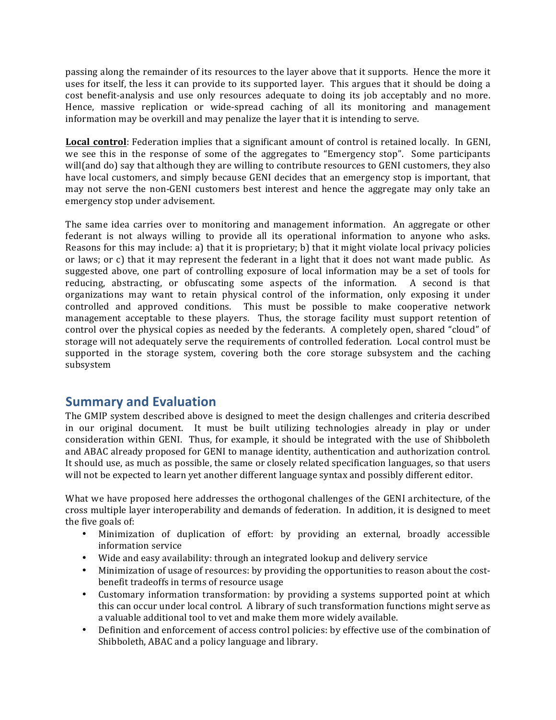passing along the remainder of its resources to the layer above that it supports. Hence the more it uses for itself, the less it can provide to its supported layer. This argues that it should be doing a cost benefit-analysis and use only resources adequate to doing its job acceptably and no more. Hence, massive replication or wide-spread caching of all its monitoring and management information may be overkill and may penalize the layer that it is intending to serve.

**Local control**: Federation implies that a significant amount of control is retained locally. In GENI, we see this in the response of some of the aggregates to "Emergency stop". Some participants will(and do) say that although they are willing to contribute resources to GENI customers, they also have local customers, and simply because GENI decides that an emergency stop is important, that may not serve the non-GENI customers best interest and hence the aggregate may only take an emergency stop under advisement.

The same idea carries over to monitoring and management information. An aggregate or other federant is not always willing to provide all its operational information to anyone who asks. Reasons for this may include: a) that it is proprietary; b) that it might violate local privacy policies or laws; or c) that it may represent the federant in a light that it does not want made public. As suggested above, one part of controlling exposure of local information may be a set of tools for reducing, abstracting, or obfuscating some aspects of the information. A second is that organizations may want to retain physical control of the information, only exposing it under controlled and approved conditions. This must be possible to make cooperative network management acceptable to these players. Thus, the storage facility must support retention of control over the physical copies as needed by the federants. A completely open, shared "cloud" of storage will not adequately serve the requirements of controlled federation. Local control must be supported in the storage system, covering both the core storage subsystem and the caching subsystem

# **Summary and Evaluation**

The GMIP system described above is designed to meet the design challenges and criteria described in our original document. It must be built utilizing technologies already in play or under consideration within GENI. Thus, for example, it should be integrated with the use of Shibboleth and ABAC already proposed for GENI to manage identity, authentication and authorization control. It should use, as much as possible, the same or closely related specification languages, so that users will not be expected to learn yet another different language syntax and possibly different editor.

What we have proposed here addresses the orthogonal challenges of the GENI architecture, of the cross multiple layer interoperability and demands of federation. In addition, it is designed to meet the five goals of:

- Minimization of duplication of effort: by providing an external, broadly accessible information service
- Wide and easy availability: through an integrated lookup and delivery service
- Minimization of usage of resources: by providing the opportunities to reason about the costbenefit tradeoffs in terms of resource usage
- Customary information transformation: by providing a systems supported point at which this can occur under local control. A library of such transformation functions might serve as a valuable additional tool to vet and make them more widely available.
- Definition and enforcement of access control policies: by effective use of the combination of Shibboleth, ABAC and a policy language and library.